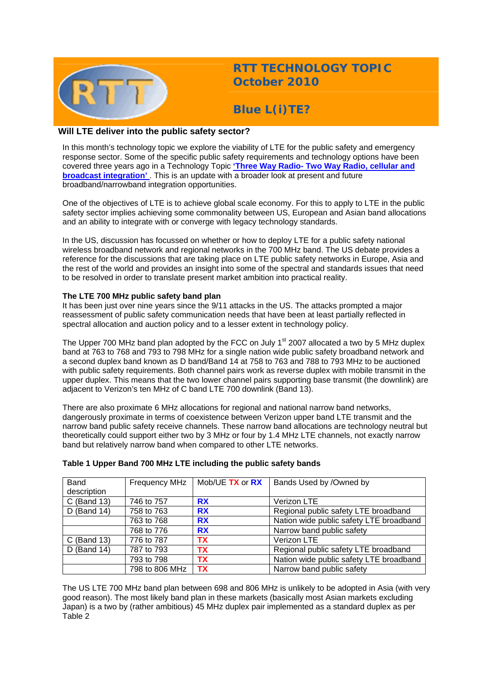

# **RTT TECHNOLOGY TOPIC October 2010**

**Blue L(i)TE?** 

# **Will LTE deliver into the public safety sector?**

In this month's technology topic we explore the viability of LTE for the public safety and emergency response sector. Some of the specific public safety requirements and technology options have been covered three years ago in a Technology Topic **['Three Way Radio- Two Way Radio, cellular and](http://www.rttonline.com/tt/TT2007_006.pdf)  broadcast integration'** This is an update with a broader look at present and future broadband/narrowband integration opportunities.

One of the objectives of LTE is to achieve global scale economy. For this to apply to LTE in the public safety sector implies achieving some commonality between US, European and Asian band allocations and an ability to integrate with or converge with legacy technology standards.

In the US, discussion has focussed on whether or how to deploy LTE for a public safety national wireless broadband network and regional networks in the 700 MHz band. The US debate provides a reference for the discussions that are taking place on LTE public safety networks in Europe, Asia and the rest of the world and provides an insight into some of the spectral and standards issues that need to be resolved in order to translate present market ambition into practical reality.

## **The LTE 700 MHz public safety band plan**

It has been just over nine years since the 9/11 attacks in the US. The attacks prompted a major reassessment of public safety communication needs that have been at least partially reflected in spectral allocation and auction policy and to a lesser extent in technology policy.

The Upper 700 MHz band plan adopted by the FCC on July  $1<sup>st</sup>$  2007 allocated a two by 5 MHz duplex band at 763 to 768 and 793 to 798 MHz for a single nation wide public safety broadband network and a second duplex band known as D band/Band 14 at 758 to 763 and 788 to 793 MHz to be auctioned with public safety requirements. Both channel pairs work as reverse duplex with mobile transmit in the upper duplex. This means that the two lower channel pairs supporting base transmit (the downlink) are adjacent to Verizon's ten MHz of C band LTE 700 downlink (Band 13).

There are also proximate 6 MHz allocations for regional and national narrow band networks, dangerously proximate in terms of coexistence between Verizon upper band LTE transmit and the narrow band public safety receive channels. These narrow band allocations are technology neutral but theoretically could support either two by 3 MHz or four by 1.4 MHz LTE channels, not exactly narrow band but relatively narrow band when compared to other LTE networks.

| Band          | Frequency MHz  | Mob/UE TX or RX | Bands Used by /Owned by                 |
|---------------|----------------|-----------------|-----------------------------------------|
| description   |                |                 |                                         |
| C (Band 13)   | 746 to 757     | <b>RX</b>       | Verizon LTE                             |
| $D$ (Band 14) | 758 to 763     | <b>RX</b>       | Regional public safety LTE broadband    |
|               | 763 to 768     | <b>RX</b>       | Nation wide public safety LTE broadband |
|               | 768 to 776     | <b>RX</b>       | Narrow band public safety               |
| $C$ (Band 13) | 776 to 787     | <b>TX</b>       | Verizon LTE                             |
| $D$ (Band 14) | 787 to 793     | <b>TX</b>       | Regional public safety LTE broadband    |
|               | 793 to 798     | <b>TX</b>       | Nation wide public safety LTE broadband |
|               | 798 to 806 MHz | <b>TX</b>       | Narrow band public safety               |

# **Table 1 Upper Band 700 MHz LTE including the public safety bands**

The US LTE 700 MHz band plan between 698 and 806 MHz is unlikely to be adopted in Asia (with very good reason). The most likely band plan in these markets (basically most Asian markets excluding Japan) is a two by (rather ambitious) 45 MHz duplex pair implemented as a standard duplex as per Table 2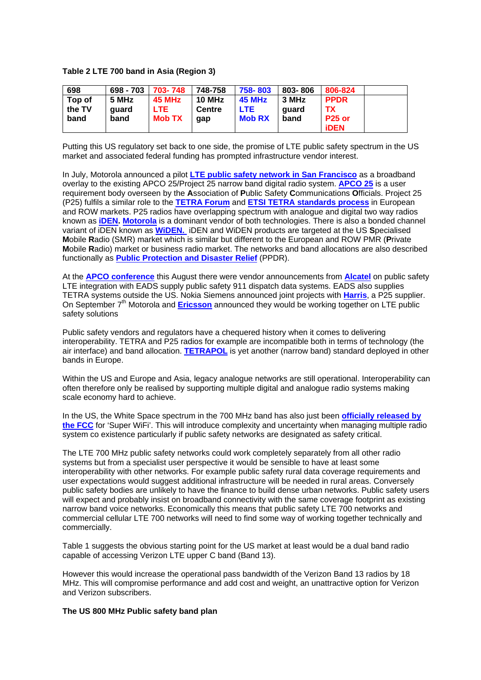### **Table 2 LTE 700 band in Asia (Region 3)**

| 698    | 698 - 703 | 703-748       | 748-758 | 758-803       | 803-806 | 806-824       |  |
|--------|-----------|---------------|---------|---------------|---------|---------------|--|
| Top of | 5 MHz     | <b>45 MHz</b> | 10 MHz  | <b>45 MHz</b> | 3 MHz   | <b>PPDR</b>   |  |
| the TV | quard     | <b>LTE</b>    | Centre  | <b>LTE</b>    | quard   | ТΧ            |  |
| band   | band      | <b>Mob TX</b> | qap     | <b>Mob RX</b> | band    | <b>P25 or</b> |  |
|        |           |               |         |               |         | <b>iDEN</b>   |  |

Putting this US regulatory set back to one side, the promise of LTE public safety spectrum in the US market and associated federal funding has prompted infrastructure vendor interest.

In July, Motorola announced a pilot **[LTE public safety network in San Francisco](http://mediacenter.motorola.com/content/detail.aspx?ReleaseID=13090&NewsAreaId=2)** as a broadband overlay to the existing APCO 25/Project 25 narrow band digital radio system. **[APCO 25](http://www.tiaonline.org/standards/technology/project_25/)** is a user requirement body overseen by the **A**ssociation of **P**ublic Safety **C**ommunications **O**fficials. Project 25 (P25) fulfils a similar role to the **[TETRA Forum](http://www.tetramou.com/)** and **[ETSI TETRA standards process](http://www.etsi.org/website/Technologies/TETRA.aspx)** in European and ROW markets. P25 radios have overlapping spectrum with analogue and digital two way radios known as **[iDEN](http://www.motorola.com/Business/US-EN/Business+Product+and+Services/Two-Way+Radios+and+Pagers+-+Business/iDEN+Harmony). [Motorola](http://www.motorola.com/Business/US-EN/Business+Product+and+Services/Two-Way+Radios+-+Public+Safety/Digital+Mobile+Radios/APX_6500)** is a dominant vendor of both technologies. There is also a bonded channel variant of iDEN known as **[WiDEN.](http://en.wikipedia.org/wiki/WiDEN)** iDEN and WiDEN products are targeted at the US **S**pecialised **M**obile **R**adio (SMR) market which is similar but different to the European and ROW PMR (**P**rivate **M**obile **R**adio) market or business radio market. The networks and band allocations are also described functionally as **[Public Protection and Disaster Relief](http://apps.ero.dk/ecc_workprogram/Application/WorkProgram/WorkItemList/)** (PPDR).

At the **[APCO conference](http://www.apco2010.org/)** this August there were vendor announcements from **[Alcatel](http://www.alcatel-lucent.com/wps/portal/!ut/p/kcxml/04_Sj9SPykssy0xPLMnMz0vM0Y_QjzKLd4x3tXDUL8h2VAQAURh_Yw!!?LMSG_CABINET=Docs_and_Resource_Ctr&LMSG_CONTENT_FILE=News_Releases_2010/News_Article_002149.xml)** on public safety LTE integration with EADS supply public safety 911 dispatch data systems. EADS also supplies TETRA systems outside the US. Nokia Siemens announced joint projects with **[Harris](http://www.harris.com/view_pressrelease.asp?act=lookup&pr_id=3042)**, a P25 supplier. On September 7<sup>th</sup> Motorola and **[Ericsson](http://www.ericsson.com/news/1443016)** announced they would be working together on LTE public safety solutions

Public safety vendors and regulators have a chequered history when it comes to delivering interoperability. TETRA and P25 radios for example are incompatible both in terms of technology (the air interface) and band allocation. **[TETRAPOL](http://www.tetrapol.com/home/tetrapol.html)** is yet another (narrow band) standard deployed in other bands in Europe.

Within the US and Europe and Asia, legacy analogue networks are still operational. Interoperability can often therefore only be realised by supporting multiple digital and analogue radio systems making scale economy hard to achieve.

In the US, the White Space spectrum in the 700 MHz band has also just been **[officially released by](http://www.fcc.gov/Daily_Releases/Daily_Business/2010/db0923/DOC-301650A1.pdf)  [the FCC](http://www.fcc.gov/Daily_Releases/Daily_Business/2010/db0923/DOC-301650A1.pdf)** for 'Super WiFi'. This will introduce complexity and uncertainty when managing multiple radio system co existence particularly if public safety networks are designated as safety critical.

The LTE 700 MHz public safety networks could work completely separately from all other radio systems but from a specialist user perspective it would be sensible to have at least some interoperability with other networks. For example public safety rural data coverage requirements and user expectations would suggest additional infrastructure will be needed in rural areas. Conversely public safety bodies are unlikely to have the finance to build dense urban networks. Public safety users will expect and probably insist on broadband connectivity with the same coverage footprint as existing narrow band voice networks. Economically this means that public safety LTE 700 networks and commercial cellular LTE 700 networks will need to find some way of working together technically and commercially.

Table 1 suggests the obvious starting point for the US market at least would be a dual band radio capable of accessing Verizon LTE upper C band (Band 13).

However this would increase the operational pass bandwidth of the Verizon Band 13 radios by 18 MHz. This will compromise performance and add cost and weight, an unattractive option for Verizon and Verizon subscribers.

### **The US 800 MHz Public safety band plan**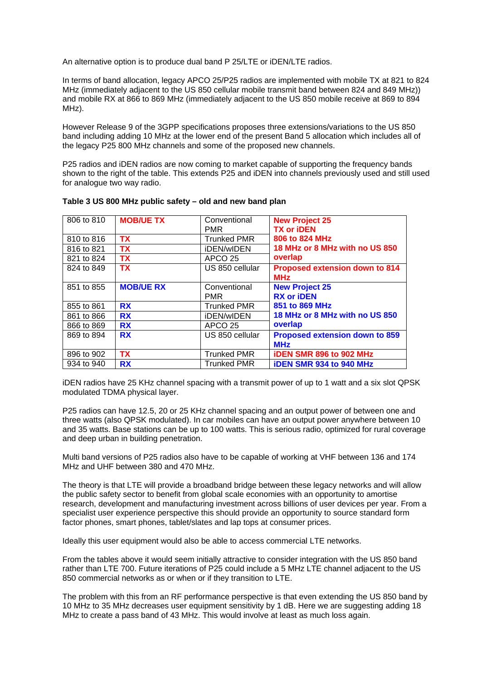An alternative option is to produce dual band P 25/LTE or iDEN/LTE radios.

In terms of band allocation, legacy APCO 25/P25 radios are implemented with mobile TX at 821 to 824 MHz (immediately adjacent to the US 850 cellular mobile transmit band between 824 and 849 MHz)) and mobile RX at 866 to 869 MHz (immediately adjacent to the US 850 mobile receive at 869 to 894 MHz).

However Release 9 of the 3GPP specifications proposes three extensions/variations to the US 850 band including adding 10 MHz at the lower end of the present Band 5 allocation which includes all of the legacy P25 800 MHz channels and some of the proposed new channels.

P25 radios and iDEN radios are now coming to market capable of supporting the frequency bands shown to the right of the table. This extends P25 and iDEN into channels previously used and still used for analogue two way radio.

| 806 to 810 | <b>MOB/UE TX</b> | Conventional<br><b>PMR</b> | <b>New Project 25</b><br><b>TX or iDEN</b> |  |
|------------|------------------|----------------------------|--------------------------------------------|--|
| 810 to 816 | <b>TX</b>        | <b>Trunked PMR</b>         | 806 to 824 MHz                             |  |
| 816 to 821 | <b>TX</b>        | <i><b>iDEN/wIDEN</b></i>   | 18 MHz or 8 MHz with no US 850             |  |
| 821 to 824 | <b>TX</b>        | APCO 25                    | overlap                                    |  |
| 824 to 849 | <b>TX</b>        | US 850 cellular            | <b>Proposed extension down to 814</b>      |  |
|            |                  |                            | <b>MHz</b>                                 |  |
| 851 to 855 | <b>MOB/UE RX</b> | Conventional               | <b>New Project 25</b>                      |  |
|            |                  | <b>PMR</b>                 | <b>RX or iDEN</b>                          |  |
| 855 to 861 | <b>RX</b>        | <b>Trunked PMR</b>         | 851 to 869 MHz                             |  |
| 861 to 866 | <b>RX</b>        | <i><b>iDEN/wIDEN</b></i>   | 18 MHz or 8 MHz with no US 850             |  |
| 866 to 869 | <b>RX</b>        | APCO 25                    | overlap                                    |  |
| 869 to 894 | <b>RX</b>        | US 850 cellular            | <b>Proposed extension down to 859</b>      |  |
|            |                  |                            | <b>MHz</b>                                 |  |
| 896 to 902 | <b>TX</b>        | <b>Trunked PMR</b>         | <b>IDEN SMR 896 to 902 MHz</b>             |  |
| 934 to 940 | <b>RX</b>        | <b>Trunked PMR</b>         | <b>iDEN SMR 934 to 940 MHz</b>             |  |

| Table 3 US 800 MHz public safety - old and new band plan |
|----------------------------------------------------------|
|----------------------------------------------------------|

iDEN radios have 25 KHz channel spacing with a transmit power of up to 1 watt and a six slot QPSK modulated TDMA physical layer.

P25 radios can have 12.5, 20 or 25 KHz channel spacing and an output power of between one and three watts (also QPSK modulated). In car mobiles can have an output power anywhere between 10 and 35 watts. Base stations can be up to 100 watts. This is serious radio, optimized for rural coverage and deep urban in building penetration.

Multi band versions of P25 radios also have to be capable of working at VHF between 136 and 174 MHz and UHF between 380 and 470 MHz.

The theory is that LTE will provide a broadband bridge between these legacy networks and will allow the public safety sector to benefit from global scale economies with an opportunity to amortise research, development and manufacturing investment across billions of user devices per year. From a specialist user experience perspective this should provide an opportunity to source standard form factor phones, smart phones, tablet/slates and lap tops at consumer prices.

Ideally this user equipment would also be able to access commercial LTE networks.

From the tables above it would seem initially attractive to consider integration with the US 850 band rather than LTE 700. Future iterations of P25 could include a 5 MHz LTE channel adjacent to the US 850 commercial networks as or when or if they transition to LTE.

The problem with this from an RF performance perspective is that even extending the US 850 band by 10 MHz to 35 MHz decreases user equipment sensitivity by 1 dB. Here we are suggesting adding 18 MHz to create a pass band of 43 MHz. This would involve at least as much loss again.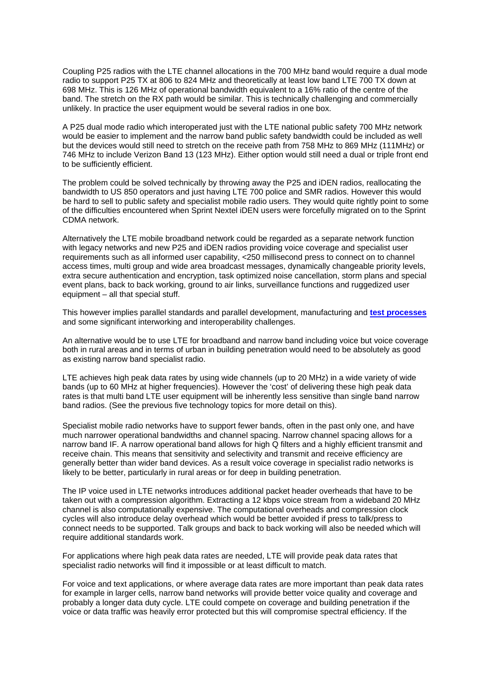Coupling P25 radios with the LTE channel allocations in the 700 MHz band would require a dual mode radio to support P25 TX at 806 to 824 MHz and theoretically at least low band LTE 700 TX down at 698 MHz. This is 126 MHz of operational bandwidth equivalent to a 16% ratio of the centre of the band. The stretch on the RX path would be similar. This is technically challenging and commercially unlikely. In practice the user equipment would be several radios in one box.

A P25 dual mode radio which interoperated just with the LTE national public safety 700 MHz network would be easier to implement and the narrow band public safety bandwidth could be included as well but the devices would still need to stretch on the receive path from 758 MHz to 869 MHz (111MHz) or 746 MHz to include Verizon Band 13 (123 MHz). Either option would still need a dual or triple front end to be sufficiently efficient.

The problem could be solved technically by throwing away the P25 and iDEN radios, reallocating the bandwidth to US 850 operators and just having LTE 700 police and SMR radios. However this would be hard to sell to public safety and specialist mobile radio users. They would quite rightly point to some of the difficulties encountered when Sprint Nextel iDEN users were forcefully migrated on to the Sprint CDMA network.

Alternatively the LTE mobile broadband network could be regarded as a separate network function with legacy networks and new P25 and iDEN radios providing voice coverage and specialist user requirements such as all informed user capability, <250 millisecond press to connect on to channel access times, multi group and wide area broadcast messages, dynamically changeable priority levels, extra secure authentication and encryption, task optimized noise cancellation, storm plans and special event plans, back to back working, ground to air links, surveillance functions and ruggedized user equipment – all that special stuff.

This however implies parallel standards and parallel development, manufacturing and **[test processes](http://www.p25.com/)** and some significant interworking and interoperability challenges.

An alternative would be to use LTE for broadband and narrow band including voice but voice coverage both in rural areas and in terms of urban in building penetration would need to be absolutely as good as existing narrow band specialist radio.

LTE achieves high peak data rates by using wide channels (up to 20 MHz) in a wide variety of wide bands (up to 60 MHz at higher frequencies). However the 'cost' of delivering these high peak data rates is that multi band LTE user equipment will be inherently less sensitive than single band narrow band radios. (See the previous five technology topics for more detail on this).

Specialist mobile radio networks have to support fewer bands, often in the past only one, and have much narrower operational bandwidths and channel spacing. Narrow channel spacing allows for a narrow band IF. A narrow operational band allows for high Q filters and a highly efficient transmit and receive chain. This means that sensitivity and selectivity and transmit and receive efficiency are generally better than wider band devices. As a result voice coverage in specialist radio networks is likely to be better, particularly in rural areas or for deep in building penetration.

The IP voice used in LTE networks introduces additional packet header overheads that have to be taken out with a compression algorithm. Extracting a 12 kbps voice stream from a wideband 20 MHz channel is also computationally expensive. The computational overheads and compression clock cycles will also introduce delay overhead which would be better avoided if press to talk/press to connect needs to be supported. Talk groups and back to back working will also be needed which will require additional standards work.

For applications where high peak data rates are needed, LTE will provide peak data rates that specialist radio networks will find it impossible or at least difficult to match.

For voice and text applications, or where average data rates are more important than peak data rates for example in larger cells, narrow band networks will provide better voice quality and coverage and probably a longer data duty cycle. LTE could compete on coverage and building penetration if the voice or data traffic was heavily error protected but this will compromise spectral efficiency. If the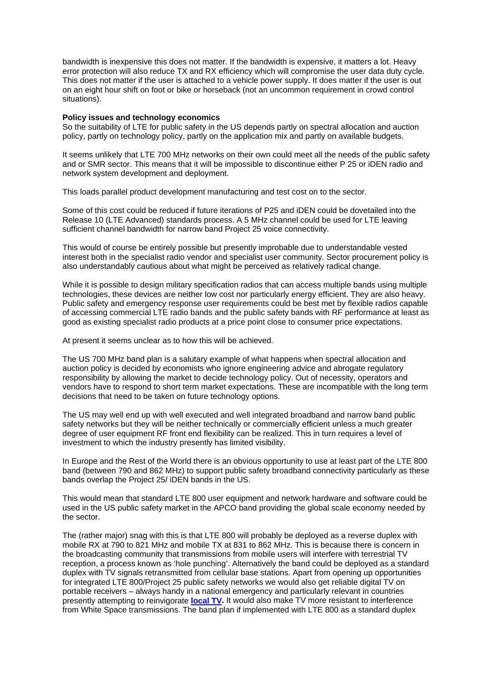bandwidth is inexpensive this does not matter. If the bandwidth is expensive, it matters a lot. Heavy error protection will also reduce TX and RX efficiency which will compromise the user data duty cycle. This does not matter if the user is attached to a vehicle power supply. It does matter if the user is out on an eight hour shift on foot or bike or horseback (not an uncommon requirement in crowd control situations).

#### **Policy issues and technology economics**

So the suitability of LTE for public safety in the US depends partly on spectral allocation and auction policy, partly on technology policy, partly on the application mix and partly on available budgets.

It seems unlikely that LTE 700 MHz networks on their own could meet all the needs of the public safety and or SMR sector. This means that it will be impossible to discontinue either P 25 or iDEN radio and network system development and deployment.

This loads parallel product development manufacturing and test cost on to the sector.

Some of this cost could be reduced if future iterations of P25 and iDEN could be dovetailed into the Release 10 (LTE Advanced) standards process. A 5 MHz channel could be used for LTE leaving sufficient channel bandwidth for narrow band Project 25 voice connectivity.

This would of course be entirely possible but presently improbable due to understandable vested interest both in the specialist radio vendor and specialist user community. Sector procurement policy is also understandably cautious about what might be perceived as relatively radical change.

While it is possible to design military specification radios that can access multiple bands using multiple technologies, these devices are neither low cost nor particularly energy efficient. They are also heavy. Public safety and emergency response user requirements could be best met by flexible radios capable of accessing commercial LTE radio bands and the public safety bands with RF performance at least as good as existing specialist radio products at a price point close to consumer price expectations.

At present it seems unclear as to how this will be achieved.

The US 700 MHz band plan is a salutary example of what happens when spectral allocation and auction policy is decided by economists who ignore engineering advice and abrogate regulatory responsibility by allowing the market to decide technology policy. Out of necessity, operators and vendors have to respond to short term market expectations. These are incompatible with the long term decisions that need to be taken on future technology options.

The US may well end up with well executed and well integrated broadband and narrow band public safety networks but they will be neither technically or commercially efficient unless a much greater degree of user equipment RF front end flexibility can be realized. This in turn requires a level of investment to which the industry presently has limited visibility.

In Europe and the Rest of the World there is an obvious opportunity to use at least part of the LTE 800 band (between 790 and 862 MHz) to support public safety broadband connectivity particularly as these bands overlap the Project 25/ iDEN bands in the US.

This would mean that standard LTE 800 user equipment and network hardware and software could be used in the US public safety market in the APCO band providing the global scale economy needed by the sector.

The (rather major) snag with this is that LTE 800 will probably be deployed as a reverse duplex with mobile RX at 790 to 821 MHz and mobile TX at 831 to 862 MHz. This is because there is concern in the broadcasting community that transmissions from mobile users will interfere with terrestrial TV reception, a process known as 'hole punching'. Alternatively the band could be deployed as a standard duplex with TV signals retransmitted from cellular base stations. Apart from opening up opportunities for integrated LTE 800/Project 25 public safety networks we would also get reliable digital TV on portable receivers – always handy in a national emergency and particularly relevant in countries presently attempting to reinvigorate **[local TV.](http://www.bbc.co.uk/news/uk-politics-11424065)** It would also make TV more resistant to interference from White Space transmissions. The band plan if implemented with LTE 800 as a standard duplex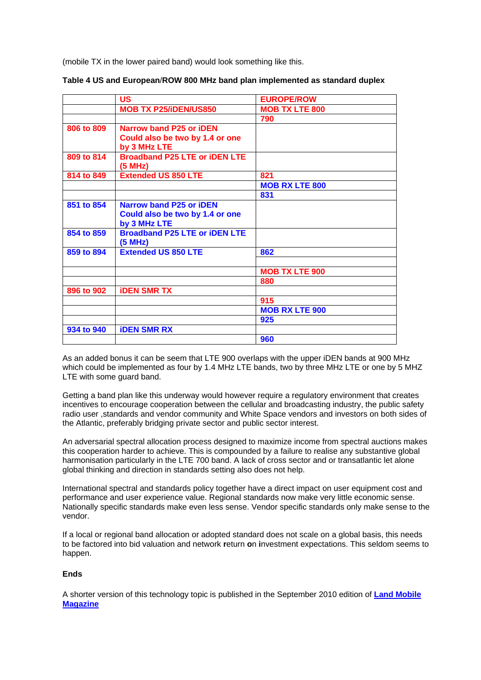(mobile TX in the lower paired band) would look something like this.

| <b>US</b>                            | <b>EUROPE/ROW</b>                                                       |
|--------------------------------------|-------------------------------------------------------------------------|
| <b>MOB TX P25/iDEN/US850</b>         | <b>MOB TX LTE 800</b>                                                   |
|                                      | 790                                                                     |
| <b>Narrow band P25 or iDEN</b>       |                                                                         |
| Could also be two by 1.4 or one      |                                                                         |
| by 3 MHz LTE                         |                                                                         |
|                                      |                                                                         |
| (5 MHz)                              |                                                                         |
| <b>Extended US 850 LTE</b>           | 821                                                                     |
|                                      | <b>MOB RX LTE 800</b>                                                   |
|                                      | 831                                                                     |
| <b>Narrow band P25 or iDEN</b>       |                                                                         |
|                                      |                                                                         |
| by 3 MHz LTE                         |                                                                         |
| <b>Broadband P25 LTE or iDEN LTE</b> |                                                                         |
| (5 MHz)                              |                                                                         |
| <b>Extended US 850 LTE</b>           | 862                                                                     |
|                                      |                                                                         |
|                                      | <b>MOB TX LTE 900</b>                                                   |
|                                      | 880                                                                     |
| <b><i>iDEN SMR TX</i></b>            |                                                                         |
|                                      | 915                                                                     |
|                                      | <b>MOB RX LTE 900</b>                                                   |
|                                      | 925                                                                     |
| <b><i>iDEN SMR RX</i></b>            |                                                                         |
|                                      | 960                                                                     |
|                                      | <b>Broadband P25 LTE or iDEN LTE</b><br>Could also be two by 1.4 or one |

| Table 4 US and European/ROW 800 MHz band plan implemented as standard duplex |  |  |  |  |
|------------------------------------------------------------------------------|--|--|--|--|
|------------------------------------------------------------------------------|--|--|--|--|

As an added bonus it can be seem that LTE 900 overlaps with the upper iDEN bands at 900 MHz which could be implemented as four by 1.4 MHz LTE bands, two by three MHz LTE or one by 5 MHZ LTE with some guard band.

Getting a band plan like this underway would however require a regulatory environment that creates incentives to encourage cooperation between the cellular and broadcasting industry, the public safety radio user ,standards and vendor community and White Space vendors and investors on both sides of the Atlantic, preferably bridging private sector and public sector interest.

An adversarial spectral allocation process designed to maximize income from spectral auctions makes this cooperation harder to achieve. This is compounded by a failure to realise any substantive global harmonisation particularly in the LTE 700 band. A lack of cross sector and or transatlantic let alone global thinking and direction in standards setting also does not help.

International spectral and standards policy together have a direct impact on user equipment cost and performance and user experience value. Regional standards now make very little economic sense. Nationally specific standards make even less sense. Vendor specific standards only make sense to the vendor.

If a local or regional band allocation or adopted standard does not scale on a global basis, this needs to be factored into bid valuation and network **r**eturn **o**n **i**nvestment expectations. This seldom seems to happen.

## **Ends**

A shorter version of this technology topic is published in the September 2010 edition of **[Land Mobile](http://www.landmobile.co.uk/cgi-bin/go.pl/library/contents.html?type=Features)  [Magazine](http://www.landmobile.co.uk/cgi-bin/go.pl/library/contents.html?type=Features)**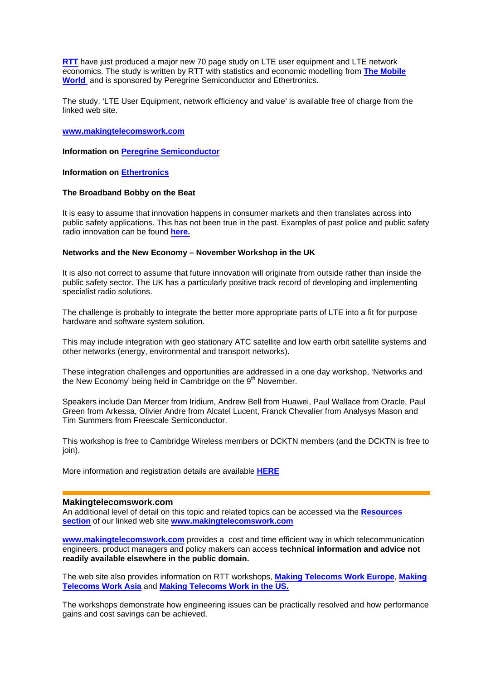**[RTT](http://www.rttonline.com/)** have just produced a major new 70 page study on LTE user equipment and LTE network economics. The study is written by RTT with statistics and economic modelling from **[The Mobile](http://www.themobileworld.com/)  [World](http://www.themobileworld.com/)** and is sponsored by Peregrine Semiconductor and Ethertronics.

The study, 'LTE User Equipment, network efficiency and value' is available free of charge from the linked web site.

**[www.makingtelecomswork.com](http://www.makingtelecomswork.com/)**

**Information on [Peregrine Semiconductor](http://www.peregrine-semi.com/)**

**Information on [Ethertronics](http://www.ethertronics.com/)**

### **The Broadband Bobby on the Beat**

It is easy to assume that innovation happens in consumer markets and then translates across into public safety applications. This has not been true in the past. Examples of past police and public safety radio innovation can be found **[here.](http://www.rttonline.com/documents/History_Archive_01v2.pdf)**

### **Networks and the New Economy – November Workshop in the UK**

It is also not correct to assume that future innovation will originate from outside rather than inside the public safety sector. The UK has a particularly positive track record of developing and implementing specialist radio solutions.

The challenge is probably to integrate the better more appropriate parts of LTE into a fit for purpose hardware and software system solution.

This may include integration with geo stationary ATC satellite and low earth orbit satellite systems and other networks (energy, environmental and transport networks).

These integration challenges and opportunities are addressed in a one day workshop, 'Networks and the New Economy' being held in Cambridge on the  $9<sup>th</sup>$  November.

Speakers include Dan Mercer from Iridium, Andrew Bell from Huawei, Paul Wallace from Oracle, Paul Green from Arkessa, Olivier Andre from Alcatel Lucent, Franck Chevalier from Analysys Mason and Tim Summers from Freescale Semiconductor.

This workshop is free to Cambridge Wireless members or DCKTN members (and the DCKTN is free to ioin).

More information and registration details are available **[HERE](http://www.cambridgewireless.co.uk/events/article/default.aspx?objid=37140)**

#### **Makingtelecomswork.com**

An additional level of detail on this topic and related topics can be accessed via the **[Resources](http://www.makingtelecomswork.com/resources.html)  [section](http://www.makingtelecomswork.com/resources.html)** of our linked web site **[www.makingtelecomswork.com](http://www.makingtelecomswork.com/)**

**[www.makingtelecomswork.com](http://www.makingtelecomswork.com/)** provides a cost and time efficient way in which telecommunication engineers, product managers and policy makers can access **technical information and advice not readily available elsewhere in the public domain.** 

The web site also provides information on RTT workshops, **[Making Telecoms Work Europe](http://www.makingtelecomswork.com/workshop_europe.html)**, **[Making](http://www.makingtelecomswork.com/workshop_asia.html)  [Telecoms Work Asia](http://www.makingtelecomswork.com/workshop_asia.html)** and **[Making Telecoms Work in the US.](http://www.makingtelecomswork.com/workshop_usa.html)**

The workshops demonstrate how engineering issues can be practically resolved and how performance gains and cost savings can be achieved.